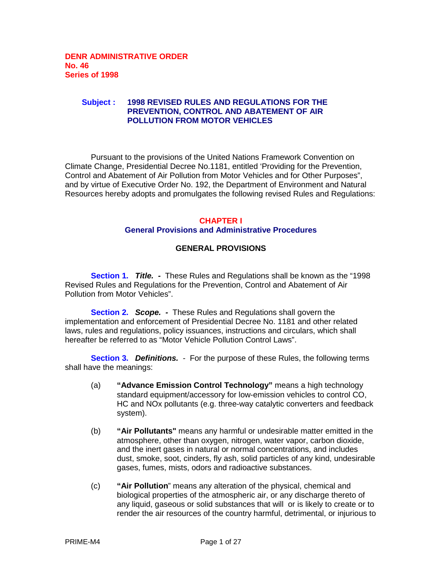## **Subject : 1998 REVISED RULES AND REGULATIONS FOR THE PREVENTION, CONTROL AND ABATEMENT OF AIR POLLUTION FROM MOTOR VEHICLES**

Pursuant to the provisions of the United Nations Framework Convention on Climate Change, Presidential Decree No.1181, entitled 'Providing for the Prevention, Control and Abatement of Air Pollution from Motor Vehicles and for Other Purposes", and by virtue of Executive Order No. 192, the Department of Environment and Natural Resources hereby adopts and promulgates the following revised Rules and Regulations:

#### **CHAPTER I General Provisions and Administrative Procedures**

# **GENERAL PROVISIONS**

**Section 1.** *Title. -* These Rules and Regulations shall be known as the "1998 Revised Rules and Regulations for the Prevention, Control and Abatement of Air Pollution from Motor Vehicles".

**Section 2.** *Scope. -* These Rules and Regulations shall govern the implementation and enforcement of Presidential Decree No. 1181 and other related laws, rules and regulations, policy issuances, instructions and circulars, which shall hereafter be referred to as "Motor Vehicle Pollution Control Laws".

**Section 3.** *Definitions. -* For the purpose of these Rules, the following terms shall have the meanings:

- (a) **"Advance Emission Control Technology"** means a high technology standard equipment/accessory for low-emission vehicles to control CO, HC and NOx pollutants (e.g. three-way catalytic converters and feedback system).
- (b) **"Air Pollutants"** means any harmful or undesirable matter emitted in the atmosphere, other than oxygen, nitrogen, water vapor, carbon dioxide, and the inert gases in natural or normal concentrations, and includes dust, smoke, soot, cinders, fly ash, solid particles of any kind, undesirable gases, fumes, mists, odors and radioactive substances.
- (c) **"Air Pollution**" means any alteration of the physical, chemical and biological properties of the atmospheric air, or any discharge thereto of any liquid, gaseous or solid substances that will or is likely to create or to render the air resources of the country harmful, detrimental, or injurious to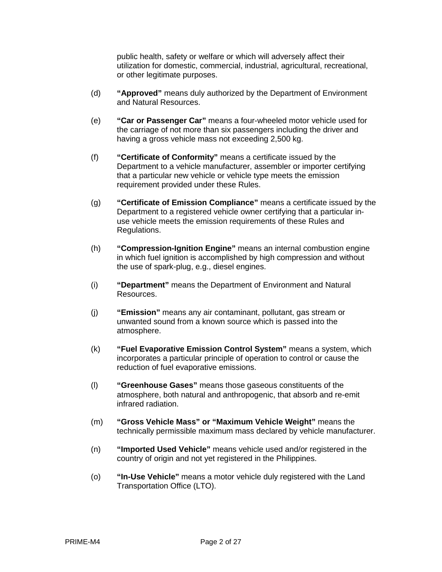public health, safety or welfare or which will adversely affect their utilization for domestic, commercial, industrial, agricultural, recreational, or other legitimate purposes.

- (d) **"Approved"** means duly authorized by the Department of Environment and Natural Resources.
- (e) **"Car or Passenger Car"** means a four-wheeled motor vehicle used for the carriage of not more than six passengers including the driver and having a gross vehicle mass not exceeding 2,500 kg.
- (f) **"Certificate of Conformity"** means a certificate issued by the Department to a vehicle manufacturer, assembler or importer certifying that a particular new vehicle or vehicle type meets the emission requirement provided under these Rules.
- (g) **"Certificate of Emission Compliance"** means a certificate issued by the Department to a registered vehicle owner certifying that a particular inuse vehicle meets the emission requirements of these Rules and Regulations.
- (h) **"Compression-Ignition Engine"** means an internal combustion engine in which fuel ignition is accomplished by high compression and without the use of spark-plug, e.g., diesel engines.
- (i) **"Department"** means the Department of Environment and Natural Resources.
- (j) **"Emission"** means any air contaminant, pollutant, gas stream or unwanted sound from a known source which is passed into the atmosphere.
- (k) **"Fuel Evaporative Emission Control System"** means a system, which incorporates a particular principle of operation to control or cause the reduction of fuel evaporative emissions.
- (l) **"Greenhouse Gases"** means those gaseous constituents of the atmosphere, both natural and anthropogenic, that absorb and re-emit infrared radiation.
- (m) **"Gross Vehicle Mass" or "Maximum Vehicle Weight"** means the technically permissible maximum mass declared by vehicle manufacturer.
- (n) **"Imported Used Vehicle"** means vehicle used and/or registered in the country of origin and not yet registered in the Philippines.
- (o) **"In-Use Vehicle"** means a motor vehicle duly registered with the Land Transportation Office (LTO).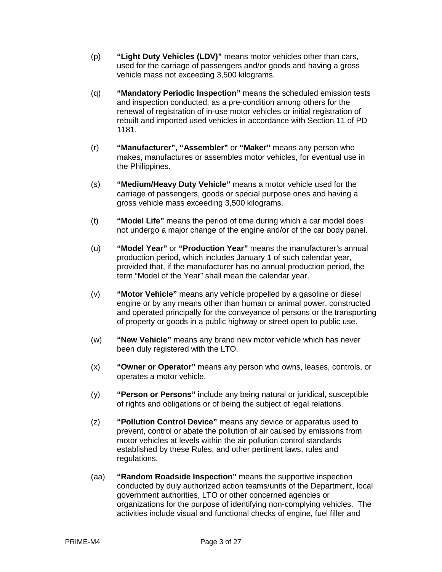- (p) **"Light Duty Vehicles (LDV)"** means motor vehicles other than cars, used for the carriage of passengers and/or goods and having a gross vehicle mass not exceeding 3,500 kilograms.
- (q) **"Mandatory Periodic Inspection"** means the scheduled emission tests and inspection conducted, as a pre-condition among others for the renewal of registration of in-use motor vehicles or initial registration of rebuilt and imported used vehicles in accordance with Section 11 of PD 1181.
- (r) **"Manufacturer", "Assembler"** or **"Maker"** means any person who makes, manufactures or assembles motor vehicles, for eventual use in the Philippines.
- (s) **"Medium/Heavy Duty Vehicle"** means a motor vehicle used for the carriage of passengers, goods or special purpose ones and having a gross vehicle mass exceeding 3,500 kilograms.
- (t) **"Model Life"** means the period of time during which a car model does not undergo a major change of the engine and/or of the car body panel.
- (u) **"Model Year"** or **"Production Year"** means the manufacturer's annual production period, which includes January 1 of such calendar year, provided that, if the manufacturer has no annual production period, the term "Model of the Year" shall mean the calendar year.
- (v) **"Motor Vehicle"** means any vehicle propelled by a gasoline or diesel engine or by any means other than human or animal power, constructed and operated principally for the conveyance of persons or the transporting of property or goods in a public highway or street open to public use.
- (w) **"New Vehicle"** means any brand new motor vehicle which has never been duly registered with the LTO.
- (x) **"Owner or Operator"** means any person who owns, leases, controls, or operates a motor vehicle.
- (y) **"Person or Persons"** include any being natural or juridical, susceptible of rights and obligations or of being the subject of legal relations.
- (z) **"Pollution Control Device"** means any device or apparatus used to prevent, control or abate the pollution of air caused by emissions from motor vehicles at levels within the air pollution control standards established by these Rules, and other pertinent laws, rules and regulations.
- (aa) **"Random Roadside Inspection"** means the supportive inspection conducted by duly authorized action teams/units of the Department, local government authorities, LTO or other concerned agencies or organizations for the purpose of identifying non-complying vehicles. The activities include visual and functional checks of engine, fuel filler and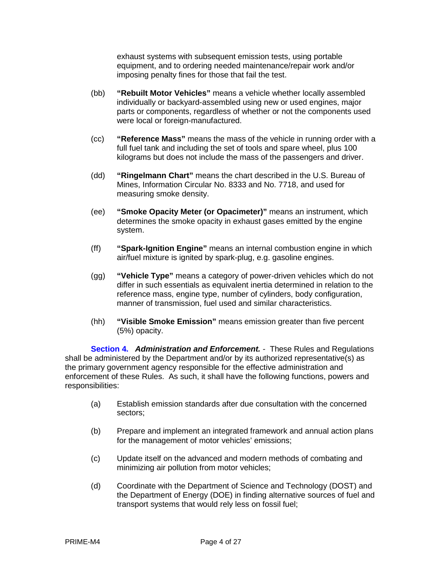exhaust systems with subsequent emission tests, using portable equipment, and to ordering needed maintenance/repair work and/or imposing penalty fines for those that fail the test.

- (bb) **"Rebuilt Motor Vehicles"** means a vehicle whether locally assembled individually or backyard-assembled using new or used engines, major parts or components, regardless of whether or not the components used were local or foreign-manufactured.
- (cc) **"Reference Mass"** means the mass of the vehicle in running order with a full fuel tank and including the set of tools and spare wheel, plus 100 kilograms but does not include the mass of the passengers and driver.
- (dd) **"Ringelmann Chart"** means the chart described in the U.S. Bureau of Mines, Information Circular No. 8333 and No. 7718, and used for measuring smoke density.
- (ee) **"Smoke Opacity Meter (or Opacimeter)"** means an instrument, which determines the smoke opacity in exhaust gases emitted by the engine system.
- (ff) **"Spark-Ignition Engine"** means an internal combustion engine in which air/fuel mixture is ignited by spark-plug, e.g. gasoline engines.
- (gg) **"Vehicle Type"** means a category of power-driven vehicles which do not differ in such essentials as equivalent inertia determined in relation to the reference mass, engine type, number of cylinders, body configuration, manner of transmission, fuel used and similar characteristics.
- (hh) **"Visible Smoke Emission"** means emission greater than five percent (5%) opacity.

**Section 4.** *Administration and Enforcement. -* These Rules and Regulations shall be administered by the Department and/or by its authorized representative(s) as the primary government agency responsible for the effective administration and enforcement of these Rules. As such, it shall have the following functions, powers and responsibilities:

- (a) Establish emission standards after due consultation with the concerned sectors;
- (b) Prepare and implement an integrated framework and annual action plans for the management of motor vehicles' emissions;
- (c) Update itself on the advanced and modern methods of combating and minimizing air pollution from motor vehicles;
- (d) Coordinate with the Department of Science and Technology (DOST) and the Department of Energy (DOE) in finding alternative sources of fuel and transport systems that would rely less on fossil fuel;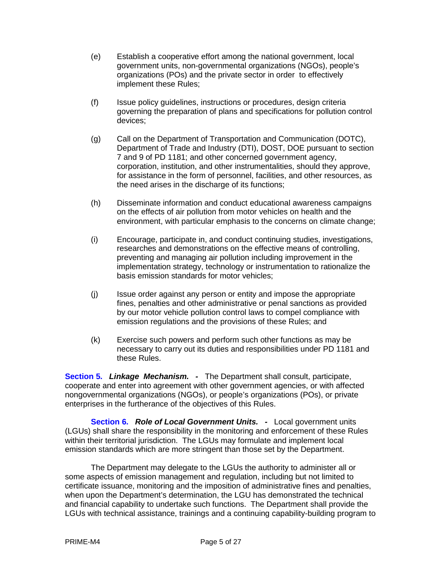- (e) Establish a cooperative effort among the national government, local government units, non-governmental organizations (NGOs), people's organizations (POs) and the private sector in order to effectively implement these Rules;
- (f) Issue policy guidelines, instructions or procedures, design criteria governing the preparation of plans and specifications for pollution control devices;
- (g) Call on the Department of Transportation and Communication (DOTC), Department of Trade and Industry (DTI), DOST, DOE pursuant to section 7 and 9 of PD 1181; and other concerned government agency, corporation, institution, and other instrumentalities, should they approve, for assistance in the form of personnel, facilities, and other resources, as the need arises in the discharge of its functions;
- (h) Disseminate information and conduct educational awareness campaigns on the effects of air pollution from motor vehicles on health and the environment, with particular emphasis to the concerns on climate change;
- (i) Encourage, participate in, and conduct continuing studies, investigations, researches and demonstrations on the effective means of controlling, preventing and managing air pollution including improvement in the implementation strategy, technology or instrumentation to rationalize the basis emission standards for motor vehicles;
- (j) Issue order against any person or entity and impose the appropriate fines, penalties and other administrative or penal sanctions as provided by our motor vehicle pollution control laws to compel compliance with emission regulations and the provisions of these Rules; and
- (k) Exercise such powers and perform such other functions as may be necessary to carry out its duties and responsibilities under PD 1181 and these Rules.

**Section 5.** *Linkage Mechanism. -* The Department shall consult, participate, cooperate and enter into agreement with other government agencies, or with affected nongovernmental organizations (NGOs), or people's organizations (POs), or private enterprises in the furtherance of the objectives of this Rules.

**Section 6.** *Role of Local Government Units. -* Local government units (LGUs) shall share the responsibility in the monitoring and enforcement of these Rules within their territorial jurisdiction. The LGUs may formulate and implement local emission standards which are more stringent than those set by the Department.

The Department may delegate to the LGUs the authority to administer all or some aspects of emission management and regulation, including but not limited to certificate issuance, monitoring and the imposition of administrative fines and penalties, when upon the Department's determination, the LGU has demonstrated the technical and financial capability to undertake such functions. The Department shall provide the LGUs with technical assistance, trainings and a continuing capability-building program to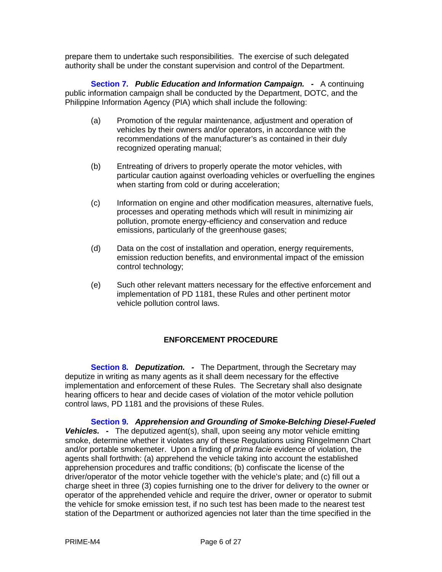prepare them to undertake such responsibilities. The exercise of such delegated authority shall be under the constant supervision and control of the Department.

**Section 7.** *Public Education and Information Campaign. -* A continuing public information campaign shall be conducted by the Department, DOTC, and the Philippine Information Agency (PIA) which shall include the following:

- (a) Promotion of the regular maintenance, adjustment and operation of vehicles by their owners and/or operators, in accordance with the recommendations of the manufacturer's as contained in their duly recognized operating manual;
- (b) Entreating of drivers to properly operate the motor vehicles, with particular caution against overloading vehicles or overfuelling the engines when starting from cold or during acceleration;
- (c) Information on engine and other modification measures, alternative fuels, processes and operating methods which will result in minimizing air pollution, promote energy-efficiency and conservation and reduce emissions, particularly of the greenhouse gases;
- (d) Data on the cost of installation and operation, energy requirements, emission reduction benefits, and environmental impact of the emission control technology;
- (e) Such other relevant matters necessary for the effective enforcement and implementation of PD 1181, these Rules and other pertinent motor vehicle pollution control laws.

# **ENFORCEMENT PROCEDURE**

**Section 8.** *Deputization. -* The Department, through the Secretary may deputize in writing as many agents as it shall deem necessary for the effective implementation and enforcement of these Rules. The Secretary shall also designate hearing officers to hear and decide cases of violation of the motor vehicle pollution control laws, PD 1181 and the provisions of these Rules.

**Section 9.** *Apprehension and Grounding of Smoke-Belching Diesel-Fueled Vehicles. -*The deputized agent(s), shall, upon seeing any motor vehicle emitting smoke, determine whether it violates any of these Regulations using Ringelmenn Chart and/or portable smokemeter. Upon a finding of *prima facie* evidence of violation, the agents shall forthwith: (a) apprehend the vehicle taking into account the established apprehension procedures and traffic conditions; (b) confiscate the license of the driver/operator of the motor vehicle together with the vehicle's plate; and (c) fill out a charge sheet in three (3) copies furnishing one to the driver for delivery to the owner or operator of the apprehended vehicle and require the driver, owner or operator to submit the vehicle for smoke emission test, if no such test has been made to the nearest test station of the Department or authorized agencies not later than the time specified in the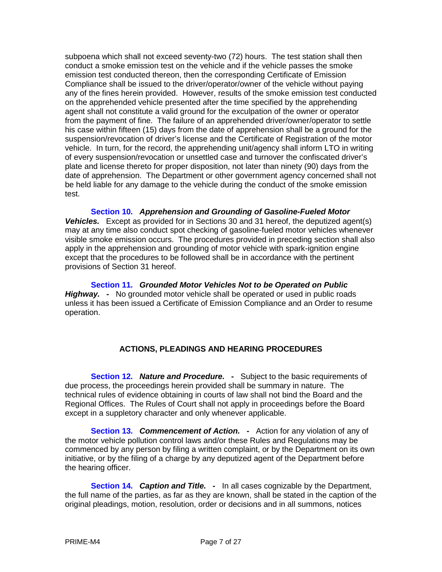subpoena which shall not exceed seventy-two (72) hours. The test station shall then conduct a smoke emission test on the vehicle and if the vehicle passes the smoke emission test conducted thereon, then the corresponding Certificate of Emission Compliance shall be issued to the driver/operator/owner of the vehicle without paying any of the fines herein provided. However, results of the smoke emission test conducted on the apprehended vehicle presented after the time specified by the apprehending agent shall not constitute a valid ground for the exculpation of the owner or operator from the payment of fine. The failure of an apprehended driver/owner/operator to settle his case within fifteen (15) days from the date of apprehension shall be a ground for the suspension/revocation of driver's license and the Certificate of Registration of the motor vehicle. In turn, for the record, the apprehending unit/agency shall inform LTO in writing of every suspension/revocation or unsettled case and turnover the confiscated driver's plate and license thereto for proper disposition, not later than ninety (90) days from the date of apprehension. The Department or other government agency concerned shall not be held liable for any damage to the vehicle during the conduct of the smoke emission test.

**Section 10.** *Apprehension and Grounding of Gasoline-Fueled Motor* **Vehicles.** Except as provided for in Sections 30 and 31 hereof, the deputized agent(s) may at any time also conduct spot checking of gasoline-fueled motor vehicles whenever visible smoke emission occurs. The procedures provided in preceding section shall also apply in the apprehension and grounding of motor vehicle with spark-ignition engine except that the procedures to be followed shall be in accordance with the pertinent provisions of Section 31 hereof.

**Section 11.** *Grounded Motor Vehicles Not to be Operated on Public Highway. -* No grounded motor vehicle shall be operated or used in public roads unless it has been issued a Certificate of Emission Compliance and an Order to resume operation.

# **ACTIONS, PLEADINGS AND HEARING PROCEDURES**

**Section 12.** *Nature and Procedure. -* Subject to the basic requirements of due process, the proceedings herein provided shall be summary in nature. The technical rules of evidence obtaining in courts of law shall not bind the Board and the Regional Offices. The Rules of Court shall not apply in proceedings before the Board except in a suppletory character and only whenever applicable.

**Section 13.** *Commencement of Action. -* Action for any violation of any of the motor vehicle pollution control laws and/or these Rules and Regulations may be commenced by any person by filing a written complaint, or by the Department on its own initiative, or by the filing of a charge by any deputized agent of the Department before the hearing officer.

**Section 14.** *Caption and Title. -* In all cases cognizable by the Department, the full name of the parties, as far as they are known, shall be stated in the caption of the original pleadings, motion, resolution, order or decisions and in all summons, notices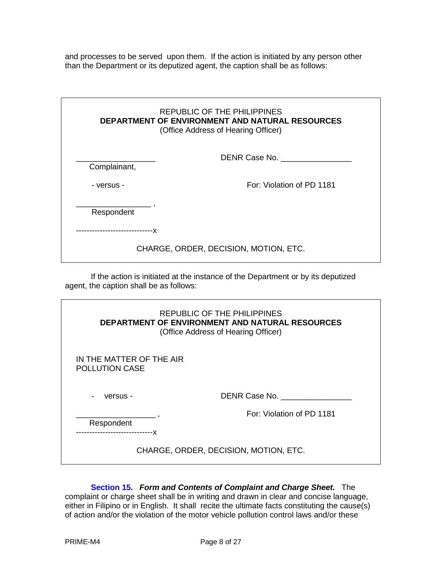and processes to be served upon them. If the action is initiated by any person other than the Department or its deputized agent, the caption shall be as follows:

| REPUBLIC OF THE PHILIPPINES<br><b>DEPARTMENT OF ENVIRONMENT AND NATURAL RESOURCES</b><br>(Office Address of Hearing Officer) |                                       |  |
|------------------------------------------------------------------------------------------------------------------------------|---------------------------------------|--|
| Complainant,                                                                                                                 | DENR Case No.                         |  |
| - versus -                                                                                                                   | For: Violation of PD 1181             |  |
| Respondent                                                                                                                   |                                       |  |
| ----------------------------X                                                                                                |                                       |  |
|                                                                                                                              | CHARGE, ORDER, DECISION, MOTION, ETC. |  |

If the action is initiated at the instance of the Department or by its deputized agent, the caption shall be as follows:

| REPUBLIC OF THE PHILIPPINES<br><b>DEPARTMENT OF ENVIRONMENT AND NATURAL RESOURCES</b><br>(Office Address of Hearing Officer) |                           |  |
|------------------------------------------------------------------------------------------------------------------------------|---------------------------|--|
| IN THE MATTER OF THE AIR<br><b>POLLUTION CASE</b>                                                                            |                           |  |
| versus -                                                                                                                     | DENR Case No.             |  |
| Respondent<br>------------------------------X                                                                                | For: Violation of PD 1181 |  |
| CHARGE, ORDER, DECISION, MOTION, ETC.                                                                                        |                           |  |

## **Section 15.** *Form and Contents of Complaint and Charge Sheet.* The complaint or charge sheet shall be in writing and drawn in clear and concise language, either in Filipino or in English. It shall recite the ultimate facts constituting the cause(s) of action and/or the violation of the motor vehicle pollution control laws and/or these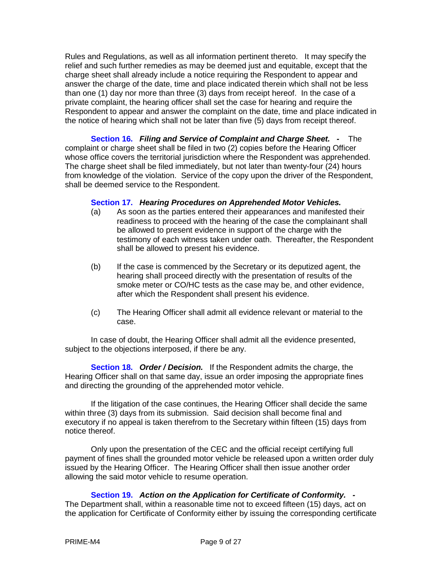Rules and Regulations, as well as all information pertinent thereto. It may specify the relief and such further remedies as may be deemed just and equitable, except that the charge sheet shall already include a notice requiring the Respondent to appear and answer the charge of the date, time and place indicated therein which shall not be less than one (1) day nor more than three (3) days from receipt hereof. In the case of a private complaint, the hearing officer shall set the case for hearing and require the Respondent to appear and answer the complaint on the date, time and place indicated in the notice of hearing which shall not be later than five (5) days from receipt thereof.

**Section 16.** *Filing and Service of Complaint and Charge Sheet. -* The complaint or charge sheet shall be filed in two (2) copies before the Hearing Officer whose office covers the territorial jurisdiction where the Respondent was apprehended. The charge sheet shall be filed immediately, but not later than twenty-four (24) hours from knowledge of the violation. Service of the copy upon the driver of the Respondent, shall be deemed service to the Respondent.

#### **Section 17.** *Hearing Procedures on Apprehended Motor Vehicles.*

- (a) As soon as the parties entered their appearances and manifested their readiness to proceed with the hearing of the case the complainant shall be allowed to present evidence in support of the charge with the testimony of each witness taken under oath. Thereafter, the Respondent shall be allowed to present his evidence.
- (b) If the case is commenced by the Secretary or its deputized agent, the hearing shall proceed directly with the presentation of results of the smoke meter or CO/HC tests as the case may be, and other evidence, after which the Respondent shall present his evidence.
- (c) The Hearing Officer shall admit all evidence relevant or material to the case.

In case of doubt, the Hearing Officer shall admit all the evidence presented, subject to the objections interposed, if there be any.

**Section 18.** *Order / Decision.* If the Respondent admits the charge, the Hearing Officer shall on that same day, issue an order imposing the appropriate fines and directing the grounding of the apprehended motor vehicle.

If the litigation of the case continues, the Hearing Officer shall decide the same within three (3) days from its submission. Said decision shall become final and executory if no appeal is taken therefrom to the Secretary within fifteen (15) days from notice thereof.

Only upon the presentation of the CEC and the official receipt certifying full payment of fines shall the grounded motor vehicle be released upon a written order duly issued by the Hearing Officer. The Hearing Officer shall then issue another order allowing the said motor vehicle to resume operation.

#### **Section 19.** *Action on the Application for Certificate of Conformity. -*

The Department shall, within a reasonable time not to exceed fifteen (15) days, act on the application for Certificate of Conformity either by issuing the corresponding certificate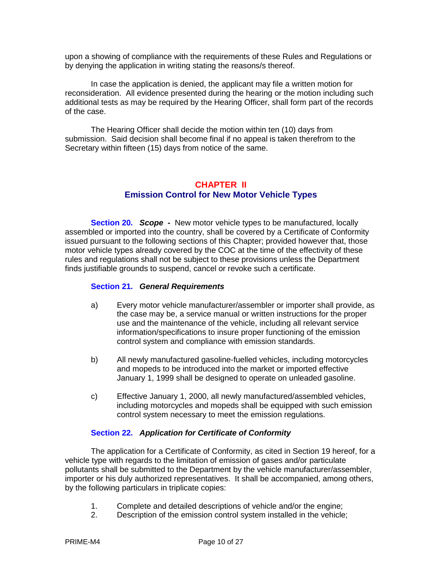upon a showing of compliance with the requirements of these Rules and Regulations or by denying the application in writing stating the reasons/s thereof.

In case the application is denied, the applicant may file a written motion for reconsideration. All evidence presented during the hearing or the motion including such additional tests as may be required by the Hearing Officer, shall form part of the records of the case.

The Hearing Officer shall decide the motion within ten (10) days from submission. Said decision shall become final if no appeal is taken therefrom to the Secretary within fifteen (15) days from notice of the same.

# **CHAPTER II Emission Control for New Motor Vehicle Types**

**Section 20.** *Scope -* New motor vehicle types to be manufactured, locally assembled or imported into the country, shall be covered by a Certificate of Conformity issued pursuant to the following sections of this Chapter; provided however that, those motor vehicle types already covered by the COC at the time of the effectivity of these rules and regulations shall not be subject to these provisions unless the Department finds justifiable grounds to suspend, cancel or revoke such a certificate.

#### **Section 21.** *General Requirements*

- a) Every motor vehicle manufacturer/assembler or importer shall provide, as the case may be, a service manual or written instructions for the proper use and the maintenance of the vehicle, including all relevant service information/specifications to insure proper functioning of the emission control system and compliance with emission standards.
- b) All newly manufactured gasoline-fuelled vehicles, including motorcycles and mopeds to be introduced into the market or imported effective January 1, 1999 shall be designed to operate on unleaded gasoline.
- c) Effective January 1, 2000, all newly manufactured/assembled vehicles, including motorcycles and mopeds shall be equipped with such emission control system necessary to meet the emission regulations.

#### **Section 22.** *Application for Certificate of Conformity*

The application for a Certificate of Conformity, as cited in Section 19 hereof, for a vehicle type with regards to the limitation of emission of gases and/or particulate pollutants shall be submitted to the Department by the vehicle manufacturer/assembler, importer or his duly authorized representatives. It shall be accompanied, among others, by the following particulars in triplicate copies:

- 1. Complete and detailed descriptions of vehicle and/or the engine;
- 2. Description of the emission control system installed in the vehicle;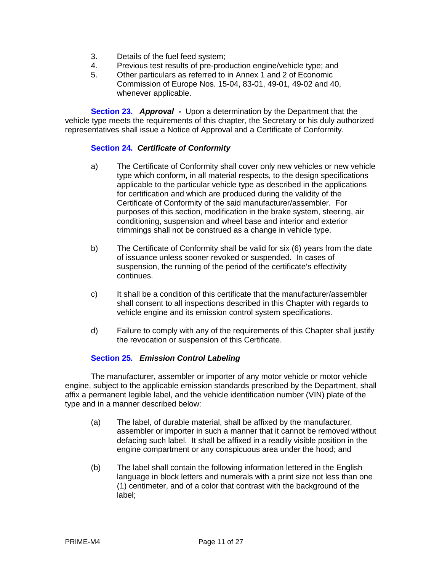- 3. Details of the fuel feed system;
- 4. Previous test results of pre-production engine/vehicle type; and
- 5. Other particulars as referred to in Annex 1 and 2 of Economic Commission of Europe Nos. 15-04, 83-01, 49-01, 49-02 and 40, whenever applicable.

**Section 23.** *Approval -* Upon a determination by the Department that the vehicle type meets the requirements of this chapter, the Secretary or his duly authorized representatives shall issue a Notice of Approval and a Certificate of Conformity.

## **Section 24.** *Certificate of Conformity*

- a) The Certificate of Conformity shall cover only new vehicles or new vehicle type which conform, in all material respects, to the design specifications applicable to the particular vehicle type as described in the applications for certification and which are produced during the validity of the Certificate of Conformity of the said manufacturer/assembler. For purposes of this section, modification in the brake system, steering, air conditioning, suspension and wheel base and interior and exterior trimmings shall not be construed as a change in vehicle type.
- b) The Certificate of Conformity shall be valid for six (6) years from the date of issuance unless sooner revoked or suspended. In cases of suspension, the running of the period of the certificate's effectivity continues.
- c) It shall be a condition of this certificate that the manufacturer/assembler shall consent to all inspections described in this Chapter with regards to vehicle engine and its emission control system specifications.
- d) Failure to comply with any of the requirements of this Chapter shall justify the revocation or suspension of this Certificate.

#### **Section 25.** *Emission Control Labeling*

The manufacturer, assembler or importer of any motor vehicle or motor vehicle engine, subject to the applicable emission standards prescribed by the Department, shall affix a permanent legible label, and the vehicle identification number (VIN) plate of the type and in a manner described below:

- (a) The label, of durable material, shall be affixed by the manufacturer, assembler or importer in such a manner that it cannot be removed without defacing such label. It shall be affixed in a readily visible position in the engine compartment or any conspicuous area under the hood; and
- (b) The label shall contain the following information lettered in the English language in block letters and numerals with a print size not less than one (1) centimeter, and of a color that contrast with the background of the label;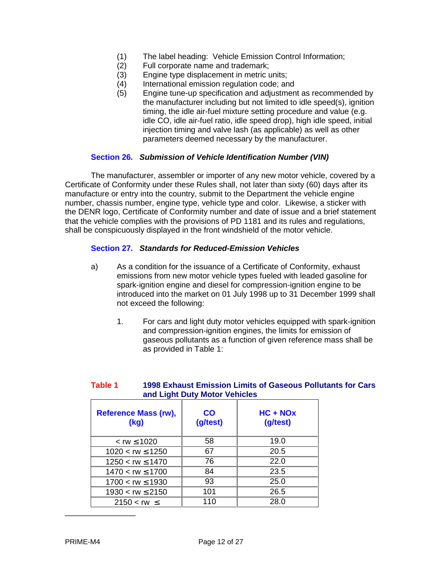- (1) The label heading: Vehicle Emission Control Information;
- (2) Full corporate name and trademark;
- (3) Engine type displacement in metric units;
- (4) International emission regulation code; and
- (5) Engine tune-up specification and adjustment as recommended by the manufacturer including but not limited to idle speed(s), ignition timing, the idle air-fuel mixture setting procedure and value (e.g. idle CO, idle air-fuel ratio, idle speed drop), high idle speed, initial injection timing and valve lash (as applicable) as well as other parameters deemed necessary by the manufacturer.

## **Section 26.** *Submission of Vehicle Identification Number (VIN)*

The manufacturer, assembler or importer of any new motor vehicle, covered by a Certificate of Conformity under these Rules shall, not later than sixty (60) days after its manufacture or entry into the country, submit to the Department the vehicle engine number, chassis number, engine type, vehicle type and color. Likewise, a sticker with the DENR logo, Certificate of Conformity number and date of issue and a brief statement that the vehicle complies with the provisions of PD 1181 and its rules and regulations, shall be conspicuously displayed in the front windshield of the motor vehicle.

## **Section 27.** *Standards for Reduced-Emission Vehicles*

- a) As a condition for the issuance of a Certificate of Conformity, exhaust emissions from new motor vehicle types fueled with leaded gasoline for spark-ignition engine and diesel for compression-ignition engine to be introduced into the market on 01 July 1998 up to 31 December 1999 shall not exceed the following:
	- 1. For cars and light duty motor vehicles equipped with spark-ignition and compression-ignition engines, the limits for emission of gaseous pollutants as a function of given reference mass shall be as provided in Table 1:

| <b>Reference Mass (rw),</b><br>(kg) | CO<br>(g/test) | $HC + NOx$<br>(g/test) |
|-------------------------------------|----------------|------------------------|
| $<$ rw $\leq 1020$                  | 58             | 19.0                   |
| $1020 <$ rw $\leq 1250$             | 67             | 20.5                   |
| $1250 <$ rw $\leq 1470$             | 76             | 22.0                   |
| $1470 <$ rw $\leq 1700$             | 84             | 23.5                   |
| $1700 <$ rw $\leq 1930$             | 93             | 25.0                   |
| $1930 <$ rw $\leq 2150$             | 101            | 26.5                   |
| $2150 < rw \leq$                    | 110            | 28.0                   |

## **Table 1 1998 Exhaust Emission Limits of Gaseous Pollutants for Cars and Light Duty Motor Vehicles**

\_\_\_\_\_\_\_\_\_\_\_\_\_\_\_\_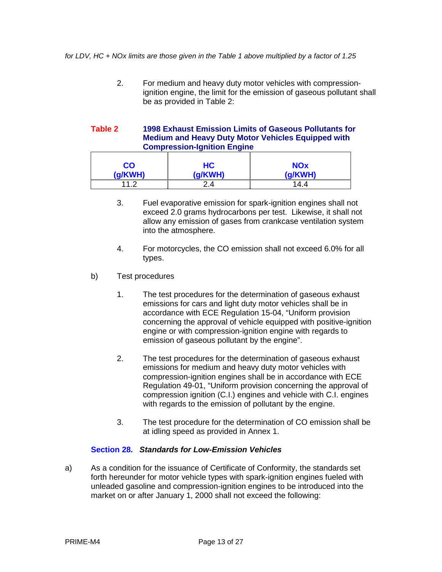*for LDV, HC + NOx limits are those given in the Table 1 above multiplied by a factor of 1.25*

2. For medium and heavy duty motor vehicles with compressionignition engine, the limit for the emission of gaseous pollutant shall be as provided in Table 2:

#### **Table 2 1998 Exhaust Emission Limits of Gaseous Pollutants for Medium and Heavy Duty Motor Vehicles Equipped with Compression-Ignition Engine**

| CO              | <b>HC</b> | <b>NOx</b> |
|-----------------|-----------|------------|
| (g/KWH)         | (g/KWH)   | (g/KWH)    |
| 11 <sub>2</sub> | 2.4       | 14.4       |

- 3. Fuel evaporative emission for spark-ignition engines shall not exceed 2.0 grams hydrocarbons per test. Likewise, it shall not allow any emission of gases from crankcase ventilation system into the atmosphere.
- 4. For motorcycles, the CO emission shall not exceed 6.0% for all types.
- b) Test procedures
	- 1. The test procedures for the determination of gaseous exhaust emissions for cars and light duty motor vehicles shall be in accordance with ECE Regulation 15-04, "Uniform provision concerning the approval of vehicle equipped with positive-ignition engine or with compression-ignition engine with regards to emission of gaseous pollutant by the engine".
	- 2. The test procedures for the determination of gaseous exhaust emissions for medium and heavy duty motor vehicles with compression-ignition engines shall be in accordance with ECE Regulation 49-01, "Uniform provision concerning the approval of compression ignition (C.I.) engines and vehicle with C.I. engines with regards to the emission of pollutant by the engine.
	- 3. The test procedure for the determination of CO emission shall be at idling speed as provided in Annex 1.

# **Section 28.** *Standards for Low-Emission Vehicles*

a) As a condition for the issuance of Certificate of Conformity, the standards set forth hereunder for motor vehicle types with spark-ignition engines fueled with unleaded gasoline and compression-ignition engines to be introduced into the market on or after January 1, 2000 shall not exceed the following: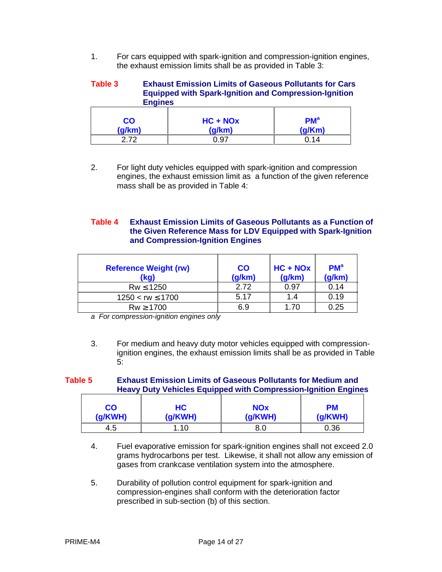1. For cars equipped with spark-ignition and compression-ignition engines, the exhaust emission limits shall be as provided in Table 3:

#### **Table 3 Exhaust Emission Limits of Gaseous Pollutants for Cars Equipped with Spark-Ignition and Compression-Ignition Engines**

| $\mathbf{co}$<br>(g/km) | $HC + NOx$<br>(g/km) | PM <sup>a</sup><br>(g/Km) |
|-------------------------|----------------------|---------------------------|
|                         |                      |                           |
| 2 72                    | 0.97                 | 0.14                      |

2. For light duty vehicles equipped with spark-ignition and compression engines, the exhaust emission limit as a function of the given reference mass shall be as provided in Table 4:

# **Table 4 Exhaust Emission Limits of Gaseous Pollutants as a Function of the Given Reference Mass for LDV Equipped with Spark-Ignition and Compression-Ignition Engines**

| <b>Reference Weight (rw)</b><br>(kg) | <b>CO</b><br>(g/km) | $HC + NOX$<br>(g/km) | PM <sup>a</sup><br>(g/km) |
|--------------------------------------|---------------------|----------------------|---------------------------|
| $Rw \leq 1250$                       | 2.72                | 0.97                 | 0.14                      |
| $1250 < rw \leq 1700$                | 5.17                | 1.4                  | 0.19                      |
| $Rw \ge 1700$                        | 6.9                 | 1.70                 | 0.25                      |

*a For compression-ignition engines only*

3. For medium and heavy duty motor vehicles equipped with compressionignition engines, the exhaust emission limits shall be as provided in Table 5:

# **Table 5 Exhaust Emission Limits of Gaseous Pollutants for Medium and Heavy Duty Vehicles Equipped with Compression-Ignition Engines**

| CO      | HC      | <b>NOx</b> | <b>PM</b> |
|---------|---------|------------|-----------|
| (g/KWH) | (g/KWH) | (g/KWH)    | (g/KWH)   |
| 4.5     | . . 10  | 8.0        | 0.36      |

4. Fuel evaporative emission for spark-ignition engines shall not exceed 2.0 grams hydrocarbons per test. Likewise, it shall not allow any emission of gases from crankcase ventilation system into the atmosphere.

5. Durability of pollution control equipment for spark-ignition and compression-engines shall conform with the deterioration factor prescribed in sub-section (b) of this section.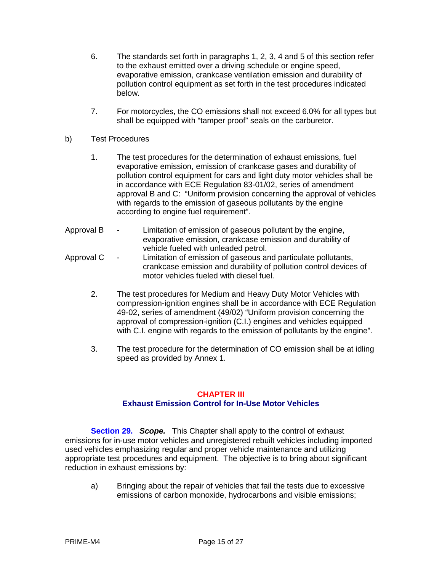- 6. The standards set forth in paragraphs 1, 2, 3, 4 and 5 of this section refer to the exhaust emitted over a driving schedule or engine speed, evaporative emission, crankcase ventilation emission and durability of pollution control equipment as set forth in the test procedures indicated below.
- 7. For motorcycles, the CO emissions shall not exceed 6.0% for all types but shall be equipped with "tamper proof" seals on the carburetor.
- b) Test Procedures
	- 1. The test procedures for the determination of exhaust emissions, fuel evaporative emission, emission of crankcase gases and durability of pollution control equipment for cars and light duty motor vehicles shall be in accordance with ECE Regulation 83-01/02, series of amendment approval B and C: "Uniform provision concerning the approval of vehicles with regards to the emission of gaseous pollutants by the engine according to engine fuel requirement".
- Approval B Limitation of emission of gaseous pollutant by the engine, evaporative emission, crankcase emission and durability of vehicle fueled with unleaded petrol.
- Approval C Limitation of emission of gaseous and particulate pollutants, crankcase emission and durability of pollution control devices of motor vehicles fueled with diesel fuel.
	- 2. The test procedures for Medium and Heavy Duty Motor Vehicles with compression-ignition engines shall be in accordance with ECE Regulation 49-02, series of amendment (49/02) "Uniform provision concerning the approval of compression-ignition (C.I.) engines and vehicles equipped with C.I. engine with regards to the emission of pollutants by the engine".
	- 3. The test procedure for the determination of CO emission shall be at idling speed as provided by Annex 1.

## **CHAPTER III Exhaust Emission Control for In-Use Motor Vehicles**

**Section 29.** *Scope.* This Chapter shall apply to the control of exhaust emissions for in-use motor vehicles and unregistered rebuilt vehicles including imported used vehicles emphasizing regular and proper vehicle maintenance and utilizing appropriate test procedures and equipment. The objective is to bring about significant reduction in exhaust emissions by:

a) Bringing about the repair of vehicles that fail the tests due to excessive emissions of carbon monoxide, hydrocarbons and visible emissions;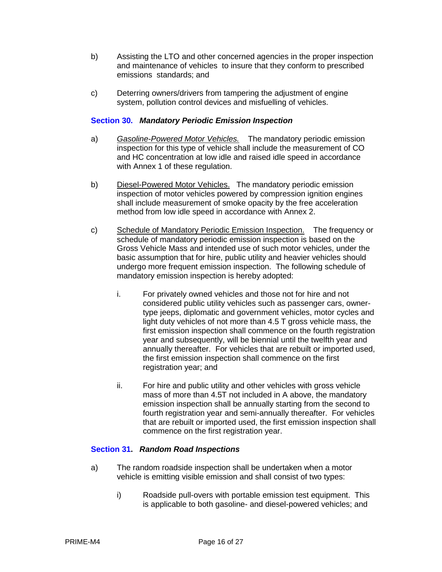- b) Assisting the LTO and other concerned agencies in the proper inspection and maintenance of vehicles to insure that they conform to prescribed emissions standards; and
- c) Deterring owners/drivers from tampering the adjustment of engine system, pollution control devices and misfuelling of vehicles.

#### **Section 30.** *Mandatory Periodic Emission Inspection*

- a) *Gasoline-Powered Motor Vehicles.* The mandatory periodic emission inspection for this type of vehicle shall include the measurement of CO and HC concentration at low idle and raised idle speed in accordance with Annex 1 of these regulation.
- b) Diesel-Powered Motor Vehicles. The mandatory periodic emission inspection of motor vehicles powered by compression ignition engines shall include measurement of smoke opacity by the free acceleration method from low idle speed in accordance with Annex 2.
- c) Schedule of Mandatory Periodic Emission Inspection. The frequency or schedule of mandatory periodic emission inspection is based on the Gross Vehicle Mass and intended use of such motor vehicles, under the basic assumption that for hire, public utility and heavier vehicles should undergo more frequent emission inspection. The following schedule of mandatory emission inspection is hereby adopted:
	- i. For privately owned vehicles and those not for hire and not considered public utility vehicles such as passenger cars, ownertype jeeps, diplomatic and government vehicles, motor cycles and light duty vehicles of not more than 4.5 T gross vehicle mass, the first emission inspection shall commence on the fourth registration year and subsequently, will be biennial until the twelfth year and annually thereafter. For vehicles that are rebuilt or imported used, the first emission inspection shall commence on the first registration year; and
	- ii. For hire and public utility and other vehicles with gross vehicle mass of more than 4.5T not included in A above, the mandatory emission inspection shall be annually starting from the second to fourth registration year and semi-annually thereafter. For vehicles that are rebuilt or imported used, the first emission inspection shall commence on the first registration year.

# **Section 31.** *Random Road Inspections*

- a) The random roadside inspection shall be undertaken when a motor vehicle is emitting visible emission and shall consist of two types:
	- i) Roadside pull-overs with portable emission test equipment. This is applicable to both gasoline- and diesel-powered vehicles; and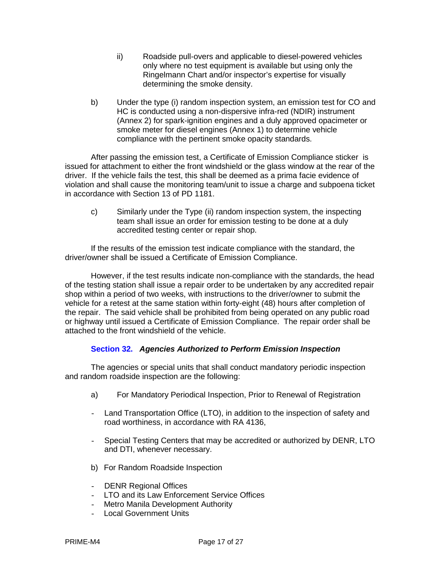- ii) Roadside pull-overs and applicable to diesel-powered vehicles only where no test equipment is available but using only the Ringelmann Chart and/or inspector's expertise for visually determining the smoke density.
- b) Under the type (i) random inspection system, an emission test for CO and HC is conducted using a non-dispersive infra-red (NDIR) instrument (Annex 2) for spark-ignition engines and a duly approved opacimeter or smoke meter for diesel engines (Annex 1) to determine vehicle compliance with the pertinent smoke opacity standards.

After passing the emission test, a Certificate of Emission Compliance sticker is issued for attachment to either the front windshield or the glass window at the rear of the driver. If the vehicle fails the test, this shall be deemed as a prima facie evidence of violation and shall cause the monitoring team/unit to issue a charge and subpoena ticket in accordance with Section 13 of PD 1181.

c) Similarly under the Type (ii) random inspection system, the inspecting team shall issue an order for emission testing to be done at a duly accredited testing center or repair shop.

If the results of the emission test indicate compliance with the standard, the driver/owner shall be issued a Certificate of Emission Compliance.

However, if the test results indicate non-compliance with the standards, the head of the testing station shall issue a repair order to be undertaken by any accredited repair shop within a period of two weeks, with instructions to the driver/owner to submit the vehicle for a retest at the same station within forty-eight (48) hours after completion of the repair. The said vehicle shall be prohibited from being operated on any public road or highway until issued a Certificate of Emission Compliance. The repair order shall be attached to the front windshield of the vehicle.

# **Section 32.** *Agencies Authorized to Perform Emission Inspection*

The agencies or special units that shall conduct mandatory periodic inspection and random roadside inspection are the following:

- a) For Mandatory Periodical Inspection, Prior to Renewal of Registration
- Land Transportation Office (LTO), in addition to the inspection of safety and road worthiness, in accordance with RA 4136,
- Special Testing Centers that may be accredited or authorized by DENR, LTO and DTI, whenever necessary.
- b) For Random Roadside Inspection
- DENR Regional Offices
- LTO and its Law Enforcement Service Offices
- Metro Manila Development Authority
- Local Government Units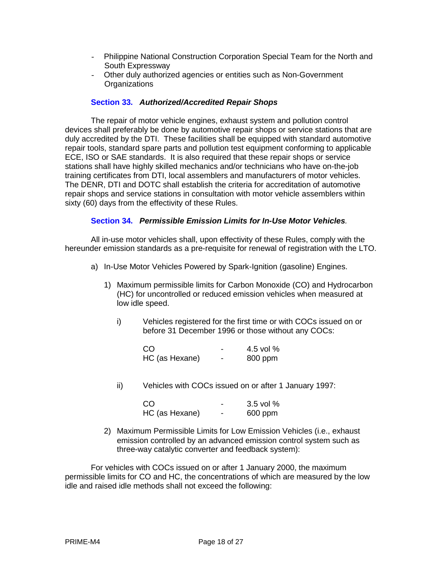- Philippine National Construction Corporation Special Team for the North and South Expressway
- Other duly authorized agencies or entities such as Non-Government **Organizations**

## **Section 33.** *Authorized/Accredited Repair Shops*

The repair of motor vehicle engines, exhaust system and pollution control devices shall preferably be done by automotive repair shops or service stations that are duly accredited by the DTI. These facilities shall be equipped with standard automotive repair tools, standard spare parts and pollution test equipment conforming to applicable ECE, ISO or SAE standards. It is also required that these repair shops or service stations shall have highly skilled mechanics and/or technicians who have on-the-job training certificates from DTI, local assemblers and manufacturers of motor vehicles. The DENR, DTI and DOTC shall establish the criteria for accreditation of automotive repair shops and service stations in consultation with motor vehicle assemblers within sixty (60) days from the effectivity of these Rules.

#### **Section 34.** *Permissible Emission Limits for In-Use Motor Vehicles.*

All in-use motor vehicles shall, upon effectivity of these Rules, comply with the hereunder emission standards as a pre-requisite for renewal of registration with the LTO.

- a) In-Use Motor Vehicles Powered by Spark-Ignition (gasoline) Engines.
	- 1) Maximum permissible limits for Carbon Monoxide (CO) and Hydrocarbon (HC) for uncontrolled or reduced emission vehicles when measured at low idle speed.
		- i) Vehicles registered for the first time or with COCs issued on or before 31 December 1996 or those without any COCs:

| CO             | 4.5 vol % |
|----------------|-----------|
| HC (as Hexane) | 800 ppm   |

ii) Vehicles with COCs issued on or after 1 January 1997:

| CO             | $3.5$ vol $%$ |
|----------------|---------------|
| HC (as Hexane) | 600 ppm       |

2) Maximum Permissible Limits for Low Emission Vehicles (i.e., exhaust emission controlled by an advanced emission control system such as three-way catalytic converter and feedback system):

For vehicles with COCs issued on or after 1 January 2000, the maximum permissible limits for CO and HC, the concentrations of which are measured by the low idle and raised idle methods shall not exceed the following: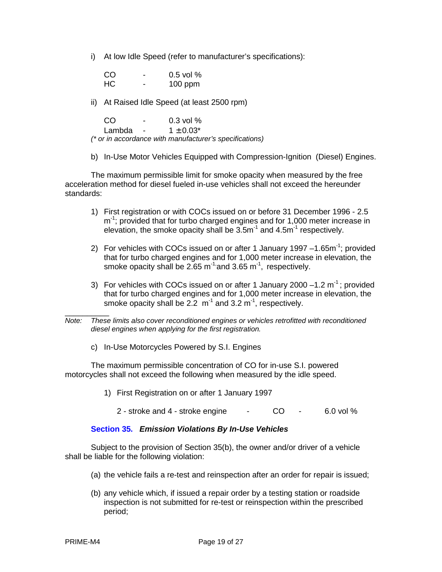i) At low Idle Speed (refer to manufacturer's specifications):

| CO | $0.5$ vol % |
|----|-------------|
| HС | $100$ ppm   |

ii) At Raised Idle Speed (at least 2500 rpm)

| CO.      | $\sim$ | $0.3$ vol %                                             |
|----------|--------|---------------------------------------------------------|
| Lambda - |        | $1 + 0.03*$                                             |
|          |        | (* or in accordance with manufacturer's specifications) |

b) In-Use Motor Vehicles Equipped with Compression-Ignition (Diesel) Engines.

The maximum permissible limit for smoke opacity when measured by the free acceleration method for diesel fueled in-use vehicles shall not exceed the hereunder standards:

- 1) First registration or with COCs issued on or before 31 December 1996 2.5  $m<sup>-1</sup>$ ; provided that for turbo charged engines and for 1,000 meter increase in elevation, the smoke opacity shall be  $3.5m^{-1}$  and  $4.5m^{-1}$  respectively.
- 2) For vehicles with COCs issued on or after 1 January 1997 $-1.65$ m<sup>-1</sup>; provided that for turbo charged engines and for 1,000 meter increase in elevation, the smoke opacity shall be 2.65  $m^{-1}$  and 3.65 m<sup>-1</sup>, respectively.
- 3) For vehicles with COCs issued on or after 1 January 2000  $-1.2 \text{ m}^{-1}$ ; provided that for turbo charged engines and for 1,000 meter increase in elevation, the smoke opacity shall be  $2.2 \text{ m}^{\text{-1}}$  and  $3.2 \text{ m}^{\text{-1}}$ , respectively.
- \_\_\_\_\_\_\_\_\_\_ *Note: These limits also cover reconditioned engines or vehicles retrofitted with reconditioned diesel engines when applying for the first registration.*
	- c) In-Use Motorcycles Powered by S.I. Engines

The maximum permissible concentration of CO for in-use S.I. powered motorcycles shall not exceed the following when measured by the idle speed.

- 1) First Registration on or after 1 January 1997
	- 2 stroke and 4 stroke engine CO 6.0 vol %

## **Section 35.** *Emission Violations By In-Use Vehicles*

Subject to the provision of Section 35(b), the owner and/or driver of a vehicle shall be liable for the following violation:

- (a) the vehicle fails a re-test and reinspection after an order for repair is issued;
- (b) any vehicle which, if issued a repair order by a testing station or roadside inspection is not submitted for re-test or reinspection within the prescribed period;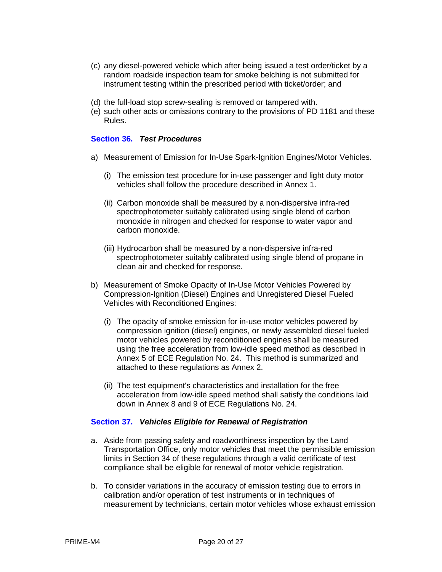- (c) any diesel-powered vehicle which after being issued a test order/ticket by a random roadside inspection team for smoke belching is not submitted for instrument testing within the prescribed period with ticket/order; and
- (d) the full-load stop screw-sealing is removed or tampered with.
- (e) such other acts or omissions contrary to the provisions of PD 1181 and these Rules.

#### **Section 36.** *Test Procedures*

- a) Measurement of Emission for In-Use Spark-Ignition Engines/Motor Vehicles.
	- (i) The emission test procedure for in-use passenger and light duty motor vehicles shall follow the procedure described in Annex 1.
	- (ii) Carbon monoxide shall be measured by a non-dispersive infra-red spectrophotometer suitably calibrated using single blend of carbon monoxide in nitrogen and checked for response to water vapor and carbon monoxide.
	- (iii) Hydrocarbon shall be measured by a non-dispersive infra-red spectrophotometer suitably calibrated using single blend of propane in clean air and checked for response.
- b) Measurement of Smoke Opacity of In-Use Motor Vehicles Powered by Compression-Ignition (Diesel) Engines and Unregistered Diesel Fueled Vehicles with Reconditioned Engines:
	- (i) The opacity of smoke emission for in-use motor vehicles powered by compression ignition (diesel) engines, or newly assembled diesel fueled motor vehicles powered by reconditioned engines shall be measured using the free acceleration from low-idle speed method as described in Annex 5 of ECE Regulation No. 24. This method is summarized and attached to these regulations as Annex 2.
	- (ii) The test equipment's characteristics and installation for the free acceleration from low-idle speed method shall satisfy the conditions laid down in Annex 8 and 9 of ECE Regulations No. 24.

#### **Section 37.** *Vehicles Eligible for Renewal of Registration*

- a. Aside from passing safety and roadworthiness inspection by the Land Transportation Office, only motor vehicles that meet the permissible emission limits in Section 34 of these regulations through a valid certificate of test compliance shall be eligible for renewal of motor vehicle registration.
- b. To consider variations in the accuracy of emission testing due to errors in calibration and/or operation of test instruments or in techniques of measurement by technicians, certain motor vehicles whose exhaust emission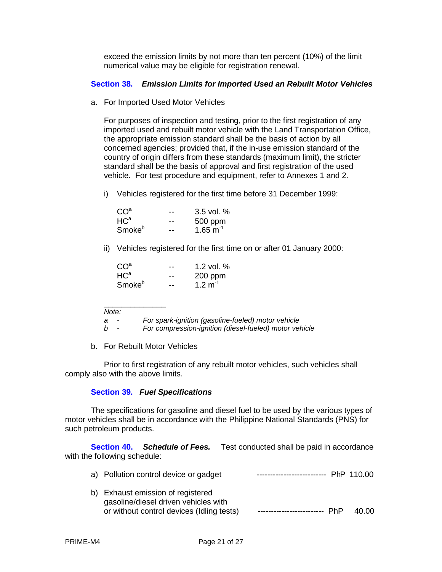exceed the emission limits by not more than ten percent (10%) of the limit numerical value may be eligible for registration renewal.

#### **Section 38.** *Emission Limits for Imported Used an Rebuilt Motor Vehicles*

a. For Imported Used Motor Vehicles

For purposes of inspection and testing, prior to the first registration of any imported used and rebuilt motor vehicle with the Land Transportation Office, the appropriate emission standard shall be the basis of action by all concerned agencies; provided that, if the in-use emission standard of the country of origin differs from these standards (maximum limit), the stricter standard shall be the basis of approval and first registration of the used vehicle. For test procedure and equipment, refer to Annexes 1 and 2.

i) Vehicles registered for the first time before 31 December 1999:

| CO <sup>a</sup>    |    | $3.5$ vol. $%$ |
|--------------------|----|----------------|
| HC <sup>a</sup>    | -- | 500 ppm        |
| Smoke <sup>b</sup> | -- | 1.65 $m^{-1}$  |

ii) Vehicles registered for the first time on or after 01 January 2000:

| CO <sup>a</sup>    | 1.2 vol. % |
|--------------------|------------|
| HC <sup>a</sup>    | 200 ppm    |
| Smoke <sup>b</sup> | $1.2 m-1$  |

\_\_\_\_\_\_\_\_\_\_\_\_\_\_ *Note:*

*a - For spark-ignition (gasoline-fueled) motor vehicle*

*b - For compression-ignition (diesel-fueled) motor vehicle*

b. For Rebuilt Motor Vehicles

Prior to first registration of any rebuilt motor vehicles, such vehicles shall comply also with the above limits.

#### **Section 39.** *Fuel Specifications*

The specifications for gasoline and diesel fuel to be used by the various types of motor vehicles shall be in accordance with the Philippine National Standards (PNS) for such petroleum products.

**Section 40.** *Schedule of Fees.* Test conducted shall be paid in accordance with the following schedule:

| a) Pollution control device or gadget                                     | -------------------------- PhP 110.00 |        |
|---------------------------------------------------------------------------|---------------------------------------|--------|
| b) Exhaust emission of registered<br>gasoline/diesel driven vehicles with |                                       |        |
| or without control devices (Idling tests)                                 |                                       | -40.00 |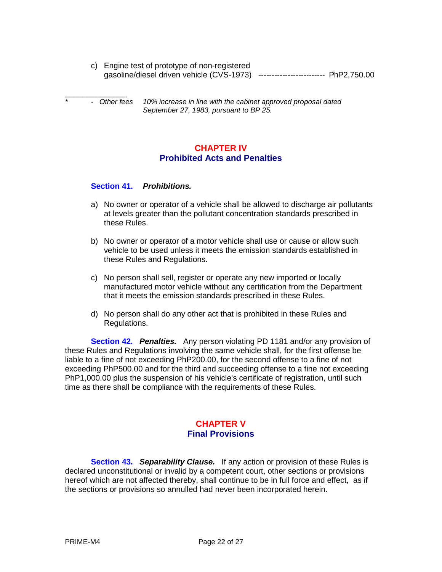c) Engine test of prototype of non-registered gasoline/diesel driven vehicle (CVS-1973) ------------------------- PhP2,750.00

*\* - Other fees 10% increase in line with the cabinet approved proposal dated September 27, 1983, pursuant to BP 25.*

# **CHAPTER IV Prohibited Acts and Penalties**

## **Section 41.** *Prohibitions.*

- a) No owner or operator of a vehicle shall be allowed to discharge air pollutants at levels greater than the pollutant concentration standards prescribed in these Rules.
- b) No owner or operator of a motor vehicle shall use or cause or allow such vehicle to be used unless it meets the emission standards established in these Rules and Regulations.
- c) No person shall sell, register or operate any new imported or locally manufactured motor vehicle without any certification from the Department that it meets the emission standards prescribed in these Rules.
- d) No person shall do any other act that is prohibited in these Rules and Regulations.

**Section 42.** *Penalties.* Any person violating PD 1181 and/or any provision of these Rules and Regulations involving the same vehicle shall, for the first offense be liable to a fine of not exceeding PhP200.00, for the second offense to a fine of not exceeding PhP500.00 and for the third and succeeding offense to a fine not exceeding PhP1,000.00 plus the suspension of his vehicle's certificate of registration, until such time as there shall be compliance with the requirements of these Rules.

# **CHAPTER V Final Provisions**

**Section 43.** *Separability Clause.* If any action or provision of these Rules is declared unconstitutional or invalid by a competent court, other sections or provisions hereof which are not affected thereby, shall continue to be in full force and effect, as if the sections or provisions so annulled had never been incorporated herein.

\_\_\_\_\_\_\_\_\_\_\_\_\_\_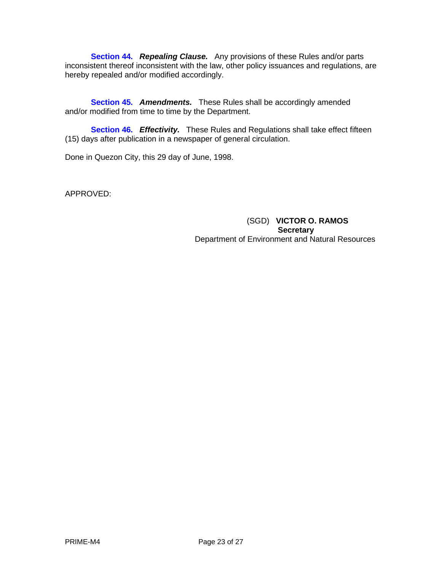**Section 44.** *Repealing Clause.* Any provisions of these Rules and/or parts inconsistent thereof inconsistent with the law, other policy issuances and regulations, are hereby repealed and/or modified accordingly.

**Section 45.** *Amendments.* These Rules shall be accordingly amended and/or modified from time to time by the Department.

**Section 46.** *Effectivity.* These Rules and Regulations shall take effect fifteen (15) days after publication in a newspaper of general circulation.

Done in Quezon City, this 29 day of June, 1998.

APPROVED:

 (SGD) **VICTOR O. RAMOS Secretary** Department of Environment and Natural Resources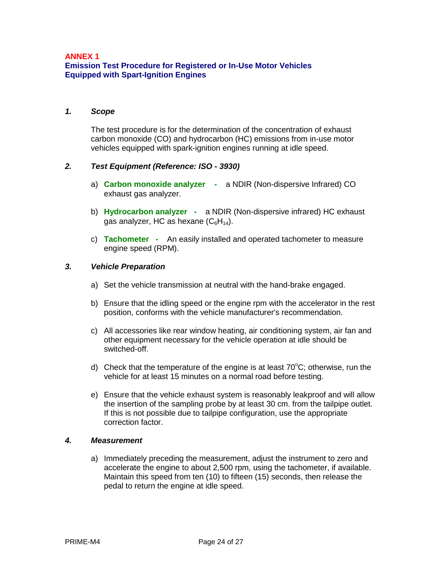# **ANNEX 1**

# **Emission Test Procedure for Registered or In-Use Motor Vehicles Equipped with Spart-Ignition Engines**

## *1. Scope*

The test procedure is for the determination of the concentration of exhaust carbon monoxide (CO) and hydrocarbon (HC) emissions from in-use motor vehicles equipped with spark-ignition engines running at idle speed.

## *2. Test Equipment (Reference: ISO - 3930)*

- a) **Carbon monoxide analyzer -** a NDIR (Non-dispersive Infrared) CO exhaust gas analyzer.
- b) **Hydrocarbon analyzer -** a NDIR (Non-dispersive infrared) HC exhaust gas analyzer, HC as hexane  $(C_6H_{14})$ .
- c) **Tachometer -** An easily installed and operated tachometer to measure engine speed (RPM).

## *3. Vehicle Preparation*

- a) Set the vehicle transmission at neutral with the hand-brake engaged.
- b) Ensure that the idling speed or the engine rpm with the accelerator in the rest position, conforms with the vehicle manufacturer's recommendation.
- c) All accessories like rear window heating, air conditioning system, air fan and other equipment necessary for the vehicle operation at idle should be switched-off.
- d) Check that the temperature of the engine is at least  $70^{\circ}$ C; otherwise, run the vehicle for at least 15 minutes on a normal road before testing.
- e) Ensure that the vehicle exhaust system is reasonably leakproof and will allow the insertion of the sampling probe by at least 30 cm. from the tailpipe outlet. If this is not possible due to tailpipe configuration, use the appropriate correction factor.

#### *4. Measurement*

a) Immediately preceding the measurement, adjust the instrument to zero and accelerate the engine to about 2,500 rpm, using the tachometer, if available. Maintain this speed from ten (10) to fifteen (15) seconds, then release the pedal to return the engine at idle speed.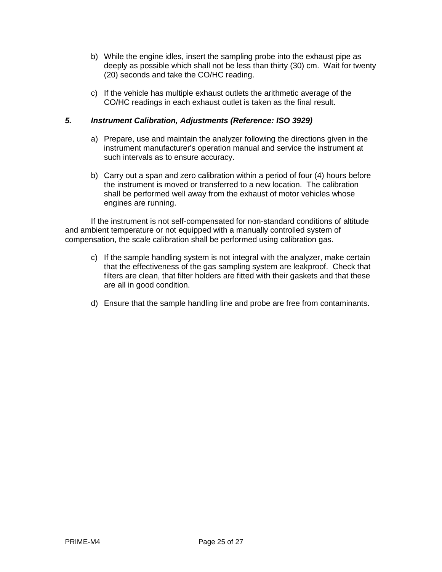- b) While the engine idles, insert the sampling probe into the exhaust pipe as deeply as possible which shall not be less than thirty (30) cm. Wait for twenty (20) seconds and take the CO/HC reading.
- c) If the vehicle has multiple exhaust outlets the arithmetic average of the CO/HC readings in each exhaust outlet is taken as the final result.

## *5. Instrument Calibration, Adjustments (Reference: ISO 3929)*

- a) Prepare, use and maintain the analyzer following the directions given in the instrument manufacturer's operation manual and service the instrument at such intervals as to ensure accuracy.
- b) Carry out a span and zero calibration within a period of four (4) hours before the instrument is moved or transferred to a new location. The calibration shall be performed well away from the exhaust of motor vehicles whose engines are running.

If the instrument is not self-compensated for non-standard conditions of altitude and ambient temperature or not equipped with a manually controlled system of compensation, the scale calibration shall be performed using calibration gas.

- c) If the sample handling system is not integral with the analyzer, make certain that the effectiveness of the gas sampling system are leakproof. Check that filters are clean, that filter holders are fitted with their gaskets and that these are all in good condition.
- d) Ensure that the sample handling line and probe are free from contaminants.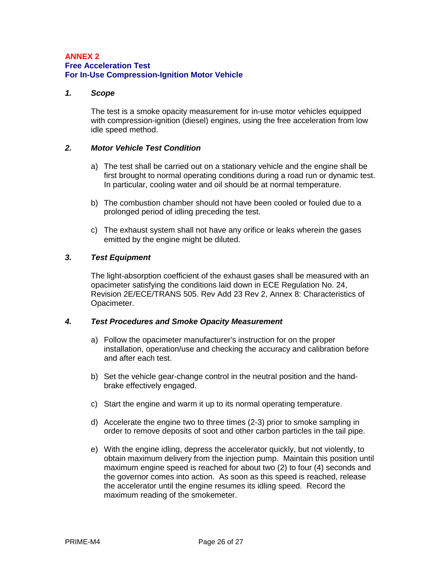## **ANNEX 2 Free Acceleration Test For In-Use Compression-Ignition Motor Vehicle**

## *1. Scope*

The test is a smoke opacity measurement for in-use motor vehicles equipped with compression-ignition (diesel) engines, using the free acceleration from low idle speed method.

## *2. Motor Vehicle Test Condition*

- a) The test shall be carried out on a stationary vehicle and the engine shall be first brought to normal operating conditions during a road run or dynamic test. In particular, cooling water and oil should be at normal temperature.
- b) The combustion chamber should not have been cooled or fouled due to a prolonged period of idling preceding the test.
- c) The exhaust system shall not have any orifice or leaks wherein the gases emitted by the engine might be diluted.

## *3. Test Equipment*

The light-absorption coefficient of the exhaust gases shall be measured with an opacimeter satisfying the conditions laid down in ECE Regulation No. 24, Revision 2E/ECE/TRANS 505. Rev Add 23 Rev 2, Annex 8: Characteristics of Opacimeter.

## *4. Test Procedures and Smoke Opacity Measurement*

- a) Follow the opacimeter manufacturer's instruction for on the proper installation, operation/use and checking the accuracy and calibration before and after each test.
- b) Set the vehicle gear-change control in the neutral position and the handbrake effectively engaged.
- c) Start the engine and warm it up to its normal operating temperature.
- d) Accelerate the engine two to three times (2-3) prior to smoke sampling in order to remove deposits of soot and other carbon particles in the tail pipe.
- e) With the engine idling, depress the accelerator quickly, but not violently, to obtain maximum delivery from the injection pump. Maintain this position until maximum engine speed is reached for about two (2) to four (4) seconds and the governor comes into action. As soon as this speed is reached, release the accelerator until the engine resumes its idling speed. Record the maximum reading of the smokemeter.